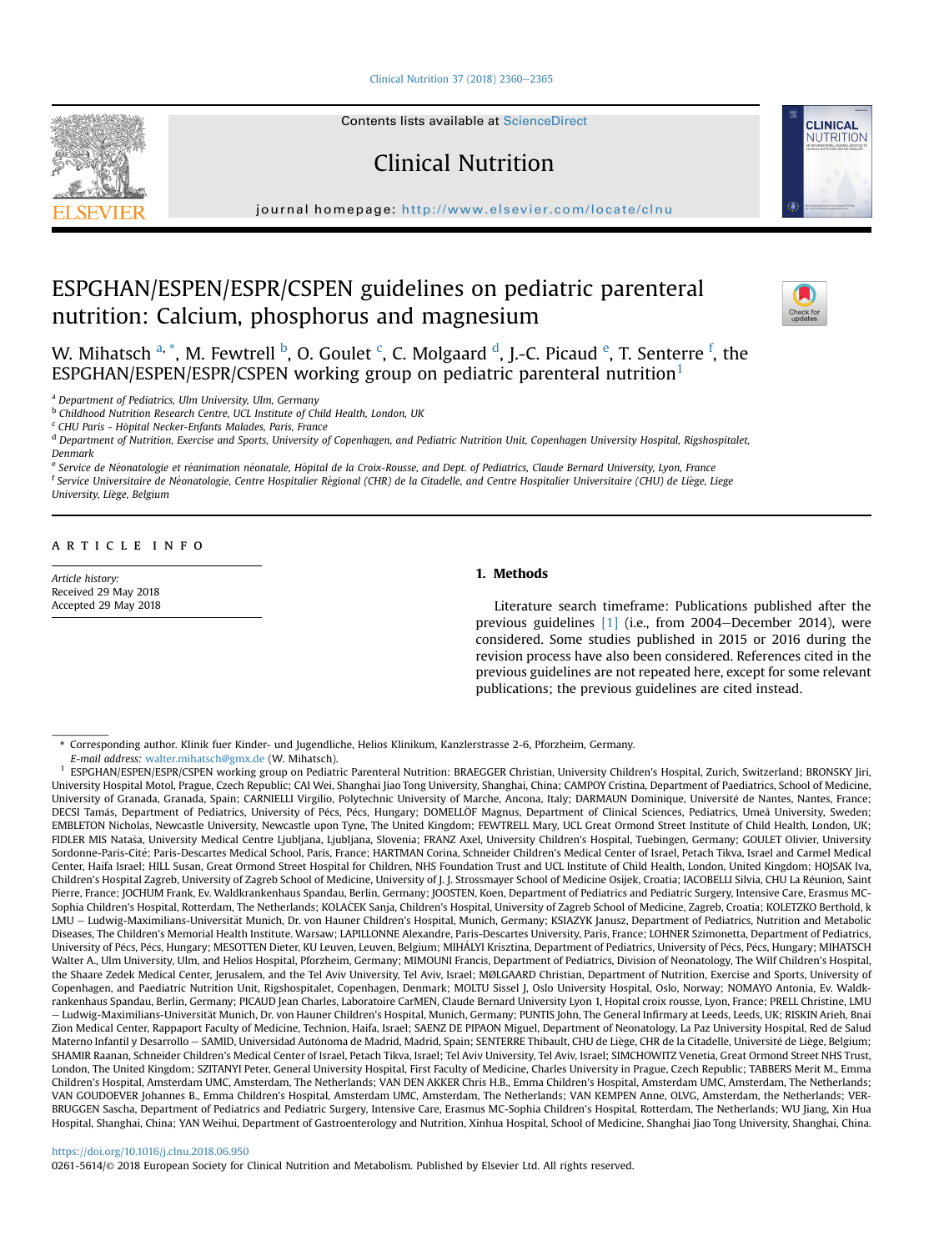[Clinical Nutrition 37 \(2018\) 2360](https://doi.org/10.1016/j.clnu.2018.06.950)-[2365](https://doi.org/10.1016/j.clnu.2018.06.950)

Contents lists available at ScienceDirect

Clinical Nutrition

journal homepage: <http://www.elsevier.com/locate/clnu>

# ESPGHAN/ESPEN/ESPR/CSPEN guidelines on pediatric parenteral nutrition: Calcium, phosphorus and magnesium



**CLINICAL** NUTRITION

W. Mihatsch <sup>a, \*</sup>, M. Fewtrell <sup>b</sup>, O. Goulet <sup>c</sup>, C. Molgaard <sup>d</sup>, J.-C. Picaud <sup>e</sup>, T. Senterre <sup>f</sup>, the ESPGHAN/ESPEN/ESPR/CSPEN working group on pediatric parenteral nutrition<sup>1</sup>

<sup>a</sup> Department of Pediatrics, Ulm University, Ulm, Germany

b Childhood Nutrition Research Centre, UCL Institute of Child Health, London, UK

 $c$  CHU Paris - Hôpital Necker-Enfants Malades, Paris, France

<sup>d</sup> Department of Nutrition, Exercise and Sports, University of Copenhagen, and Pediatric Nutrition Unit, Copenhagen University Hospital, Rigshospitalet, Denmark

<sup>e</sup> Service de Néonatologie et réanimation néonatale, Hôpital de la Croix-Rousse, and Dept. of Pediatrics, Claude Bernard University, Lyon, France

<sup>f</sup> Service Universitaire de Néonatologie, Centre Hospitalier Régional (CHR) de la Citadelle, and Centre Hospitalier Universitaire (CHU) de Liège, Liege University, Liege, Belgium

# article info

Article history: Received 29 May 2018 Accepted 29 May 2018

# 1. Methods

Literature search timeframe: Publications published after the previous guidelines [\[1\]](#page-4-0) (i.e., from 2004–December 2014), were considered. Some studies published in 2015 or 2016 during the revision process have also been considered. References cited in the previous guidelines are not repeated here, except for some relevant publications; the previous guidelines are cited instead.

E-mail address: [walter.mihatsch@gmx.de](mailto:walter.mihatsch@gmx.de) (W. Mihatsch).

<sup>1</sup> ESPGHAN/ESPEN/ESPR/CSPEN working group on Pediatric Parenteral Nutrition: BRAEGGER Christian, University Children's Hospital, Zurich, Switzerland; BRONSKY Jiri, University Hospital Motol, Prague, Czech Republic; CAI Wei, Shanghai Jiao Tong University, Shanghai, China; CAMPOY Cristina, Department of Paediatrics, School of Medicine, University of Granada, Granada, Spain; CARNIELLI Virgilio, Polytechnic University of Marche, Ancona, Italy; DARMAUN Dominique, Universite de Nantes, Nantes, France; - DECSI Tamás, Department of Pediatrics, University of Pécs, Pécs, Hungary; DOMELLÖF Magnus, Department of Clinical Sciences, Pediatrics, Umeå University, Sweden; EMBLETON Nicholas, Newcastle University, Newcastle upon Tyne, The United Kingdom; FEWTRELL Mary, UCL Great Ormond Street Institute of Child Health, London, UK; FIDLER MIS Natasa, University Medical Centre Ljubljana, Ljubljana, Slovenia; FRANZ Axel, University Children's Hospital, Tuebingen, Germany; GOULET Olivier, University Sordonne-Paris-Cité; Paris-Descartes Medical School, Paris, France; HARTMAN Corina, Schneider Children's Medical Center of Israel, Petach Tikva, Israel and Carmel Medical Center, Haifa Israel; HILL Susan, Great Ormond Street Hospital for Children, NHS Foundation Trust and UCL Institute of Child Health, London, United Kingdom; HOJSAK Iva, Children's Hospital Zagreb, University of Zagreb School of Medicine, University of J. J. Strossmayer School of Medicine Osijek, Croatia; IACOBELLI Silvia, CHU La Reunion, Saint - Pierre, France; JOCHUM Frank, Ev. Waldkrankenhaus Spandau, Berlin, Germany; JOOSTEN, Koen, Department of Pediatrics and Pediatric Surgery, Intensive Care, Erasmus MC-Sophia Children's Hospital, Rotterdam, The Netherlands; KOLAČEK Sanja, Children's Hospital, University of Zagreb School of Medicine, Zagreb, Croatia; KOLETZKO Berthold, k LMU - Ludwig-Maximilians-Universität Munich, Dr. von Hauner Children's Hospital, Munich, Germany; KSIAZYK Janusz, Department of Pediatrics, Nutrition and Metabolic Diseases, The Children's Memorial Health Institute. Warsaw; LAPILLONNE Alexandre, Paris-Descartes University, Paris, France; LOHNER Szimonetta, Department of Pediatrics, University of Pécs, Pécs, Hungary; MESOTTEN Dieter, KU Leuven, Leuven, Belgium; MIHÁLYI Krisztina, Department of Pediatrics, University of Pécs, Pécs, Hungary; MIHATSCH Walter A., Ulm University, Ulm, and Helios Hospital, Pforzheim, Germany; MIMOUNI Francis, Department of Pediatrics, Division of Neonatology, The Wilf Children's Hospital, the Shaare Zedek Medical Center, Jerusalem, and the Tel Aviv University, Tel Aviv, Israel; MØLGAARD Christian, Department of Nutrition, Exercise and Sports, University of Copenhagen, and Paediatric Nutrition Unit, Rigshospitalet, Copenhagen, Denmark; MOLTU Sissel J, Oslo University Hospital, Oslo, Norway; NOMAYO Antonia, Ev. Waldkrankenhaus Spandau, Berlin, Germany; PICAUD Jean Charles, Laboratoire CarMEN, Claude Bernard University Lyon 1, Hopital croix rousse, Lyon, France; PRELL Christine, LMU – Ludwig-Maximilians-Universität Munich, Dr. von Hauner Children's Hospital, Munich, Germany; PUNTIS John, The General Infirmary at Leeds, Leeds, UK; RISKIN Arieh, Bnai Zion Medical Center, Rappaport Faculty of Medicine, Technion, Haifa, Israel; SAENZ DE PIPAON Miguel, Department of Neonatology, La Paz University Hospital, Red de Salud Materno Infantil y Desarrollo – SAMID, Universidad Autónoma de Madrid, Madrid, Spain; SENTERRE Thibault, CHU de Liège, CHR de la Citadelle, Université de Liège, Belgium; SHAMIR Raanan, Schneider Children's Medical Center of Israel, Petach Tikva, Israel; Tel Aviv University, Tel Aviv, Israel; SIMCHOWITZ Venetia, Great Ormond Street NHS Trust, London, The United Kingdom; SZITANYI Peter, General University Hospital, First Faculty of Medicine, Charles University in Prague, Czech Republic; TABBERS Merit M., Emma Children's Hospital, Amsterdam UMC, Amsterdam, The Netherlands; VAN DEN AKKER Chris H.B., Emma Children's Hospital, Amsterdam UMC, Amsterdam, The Netherlands; VAN GOUDOEVER Johannes B., Emma Children's Hospital, Amsterdam UMC, Amsterdam, The Netherlands; VAN KEMPEN Anne, OLVG, Amsterdam, the Netherlands; VER-BRUGGEN Sascha, Department of Pediatrics and Pediatric Surgery, Intensive Care, Erasmus MC-Sophia Children's Hospital, Rotterdam, The Netherlands; WU Jiang, Xin Hua Hospital, Shanghai, China; YAN Weihui, Department of Gastroenterology and Nutrition, Xinhua Hospital, School of Medicine, Shanghai Jiao Tong University, Shanghai, China.

#### <https://doi.org/10.1016/j.clnu.2018.06.950>

0261-5614/© 2018 European Society for Clinical Nutrition and Metabolism. Published by Elsevier Ltd. All rights reserved.

<sup>\*</sup> Corresponding author. Klinik fuer Kinder- und Jugendliche, Helios Klinikum, Kanzlerstrasse 2-6, Pforzheim, Germany.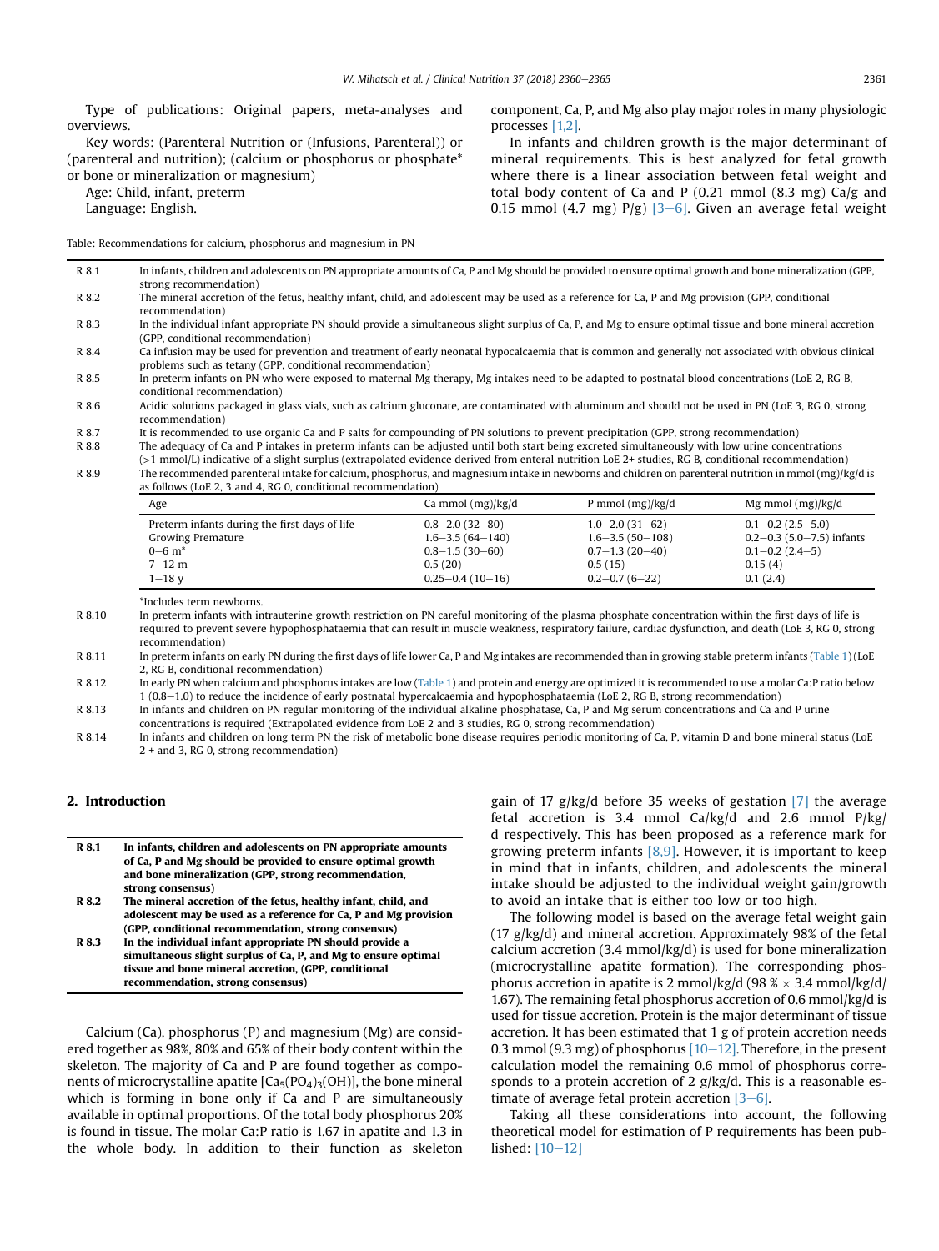R 8.1 In infants, children and adolescents on PN appropriate amounts of Ca, P and Mg should be provided to ensure optimal growth and bone mineralization (GPP,

Type of publications: Original papers, meta-analyses and overviews.

Key words: (Parenteral Nutrition or (Infusions, Parenteral)) or (parenteral and nutrition); (calcium or phosphorus or phosphate\* or bone or mineralization or magnesium)

Age: Child, infant, preterm

Language: English.

Table: Recommendations for calcium, phosphorus and magnesium in PN

component, Ca, P, and Mg also play major roles in many physiologic processes [\[1,2\].](#page-4-0)

In infants and children growth is the major determinant of mineral requirements. This is best analyzed for fetal growth where there is a linear association between fetal weight and total body content of Ca and P  $(0.21 \text{ mmol } (8.3 \text{ mg}) \text{ Ca/g}$  and 0.15 mmol (4.7 mg)  $P/g$ ) [\[3](#page-4-0)–[6\]](#page-4-0). Given an average fetal weight

| The mineral accretion of the fetus, healthy infant, child, and adolescent may be used as a reference for Ca, P and Mg provision (GPP, conditional<br>recommendation)<br>In the individual infant appropriate PN should provide a simultaneous slight surplus of Ca, P, and Mg to ensure optimal tissue and bone mineral accretion<br>(GPP, conditional recommendation)<br>Ca infusion may be used for prevention and treatment of early neonatal hypocalcaemia that is common and generally not associated with obvious clinical<br>problems such as tetany (GPP, conditional recommendation)<br>In preterm infants on PN who were exposed to maternal Mg therapy, Mg intakes need to be adapted to postnatal blood concentrations (LoE 2, RG B,<br>conditional recommendation)<br>recommendation)<br>It is recommended to use organic Ca and P salts for compounding of PN solutions to prevent precipitation (GPP, strong recommendation)<br>The adequacy of Ca and P intakes in preterm infants can be adjusted until both start being excreted simultaneously with low urine concentrations<br>(>1 mmol/L) indicative of a slight surplus (extrapolated evidence derived from enteral nutrition LoE 2+ studies, RG B, conditional recommendation)<br>The recommended parenteral intake for calcium, phosphorus, and magnesium intake in newborns and children on parenteral nutrition in mmol (mg)/kg/d is<br>as follows (LoE 2, 3 and 4, RG 0, conditional recommendation)<br>Ca mmol (mg)/kg/d<br>P mmol $(mg)/kg/d$<br>Age<br>Preterm infants during the first days of life<br>$1.0 - 2.0(31 - 62)$<br>$0.8 - 2.0(32 - 80)$<br><b>Growing Premature</b><br>$1.6 - 3.5(64 - 140)$<br>$1.6 - 3.5(50 - 108)$<br>$0 - 6$ m <sup>*</sup><br>$0.8 - 1.5(30 - 60)$<br>$0.7 - 1.3(20 - 40)$<br>$7 - 12$ m<br>0.5(20)<br>0.5(15)<br>0.15(4)<br>$0.25 - 0.4(10 - 16)$<br>$0.2 - 0.7(6 - 22)$<br>$1 - 18$ v<br>0.1(2.4)<br>*Includes term newborns.<br>In preterm infants with intrauterine growth restriction on PN careful monitoring of the plasma phosphate concentration within the first days of life is<br>required to prevent severe hypophosphataemia that can result in muscle weakness, respiratory failure, cardiac dysfunction, and death (LoE 3, RG 0, strong<br>recommendation)<br>In preterm infants on early PN during the first days of life lower Ca, P and Mg intakes are recommended than in growing stable preterm infants (Table 1) (LoE<br>2, RG B, conditional recommendation)<br>In early PN when calcium and phosphorus intakes are low (Table 1) and protein and energy are optimized it is recommended to use a molar Ca:P ratio below<br>1 (0.8–1.0) to reduce the incidence of early postnatal hypercalcaemia and hypophosphataemia (LoE 2, RG B, strong recommendation)<br>In infants and children on PN regular monitoring of the individual alkaline phosphatase, Ca, P and Mg serum concentrations and Ca and P urine<br>concentrations is required (Extrapolated evidence from LoE 2 and 3 studies, RG 0, strong recommendation)<br>In infants and children on long term PN the risk of metabolic bone disease requires periodic monitoring of Ca, P, vitamin D and bone mineral status (LoE<br>$2 +$ and 3, RG 0, strong recommendation) |       | strong recommendation)                                                                                                                                |  |  |                                 |
|---------------------------------------------------------------------------------------------------------------------------------------------------------------------------------------------------------------------------------------------------------------------------------------------------------------------------------------------------------------------------------------------------------------------------------------------------------------------------------------------------------------------------------------------------------------------------------------------------------------------------------------------------------------------------------------------------------------------------------------------------------------------------------------------------------------------------------------------------------------------------------------------------------------------------------------------------------------------------------------------------------------------------------------------------------------------------------------------------------------------------------------------------------------------------------------------------------------------------------------------------------------------------------------------------------------------------------------------------------------------------------------------------------------------------------------------------------------------------------------------------------------------------------------------------------------------------------------------------------------------------------------------------------------------------------------------------------------------------------------------------------------------------------------------------------------------------------------------------------------------------------------------------------------------------------------------------------------------------------------------------------------------------------------------------------------------------------------------------------------------------------------------------------------------------------------------------------------------------------------------------------------------------------------------------------------------------------------------------------------------------------------------------------------------------------------------------------------------------------------------------------------------------------------------------------------------------------------------------------------------------------------------------------------------------------------------------------------------------------------------------------------------------------------------------------------------------------------------------------------------------------------------------------------------------------------------------------------------------------------------------------------------------------------------------------------------------------------------------------------------------------------------------------------------------------------------------------------------------------------------------------------------------|-------|-------------------------------------------------------------------------------------------------------------------------------------------------------|--|--|---------------------------------|
| R 8.3<br>R 8.4                                                                                                                                                                                                                                                                                                                                                                                                                                                                                                                                                                                                                                                                                                                                                                                                                                                                                                                                                                                                                                                                                                                                                                                                                                                                                                                                                                                                                                                                                                                                                                                                                                                                                                                                                                                                                                                                                                                                                                                                                                                                                                                                                                                                                                                                                                                                                                                                                                                                                                                                                                                                                                                                                                                                                                                                                                                                                                                                                                                                                                                                                                                                                                                                                                                            | R 8.2 |                                                                                                                                                       |  |  |                                 |
|                                                                                                                                                                                                                                                                                                                                                                                                                                                                                                                                                                                                                                                                                                                                                                                                                                                                                                                                                                                                                                                                                                                                                                                                                                                                                                                                                                                                                                                                                                                                                                                                                                                                                                                                                                                                                                                                                                                                                                                                                                                                                                                                                                                                                                                                                                                                                                                                                                                                                                                                                                                                                                                                                                                                                                                                                                                                                                                                                                                                                                                                                                                                                                                                                                                                           |       |                                                                                                                                                       |  |  |                                 |
|                                                                                                                                                                                                                                                                                                                                                                                                                                                                                                                                                                                                                                                                                                                                                                                                                                                                                                                                                                                                                                                                                                                                                                                                                                                                                                                                                                                                                                                                                                                                                                                                                                                                                                                                                                                                                                                                                                                                                                                                                                                                                                                                                                                                                                                                                                                                                                                                                                                                                                                                                                                                                                                                                                                                                                                                                                                                                                                                                                                                                                                                                                                                                                                                                                                                           |       |                                                                                                                                                       |  |  |                                 |
| R 8.5<br>R 8.6<br>R 8.7<br>R 8.8<br>R 8.9<br>R 8.10<br>R 8.11<br>R 8.12<br>R 8.13<br>R 8.14                                                                                                                                                                                                                                                                                                                                                                                                                                                                                                                                                                                                                                                                                                                                                                                                                                                                                                                                                                                                                                                                                                                                                                                                                                                                                                                                                                                                                                                                                                                                                                                                                                                                                                                                                                                                                                                                                                                                                                                                                                                                                                                                                                                                                                                                                                                                                                                                                                                                                                                                                                                                                                                                                                                                                                                                                                                                                                                                                                                                                                                                                                                                                                               |       |                                                                                                                                                       |  |  |                                 |
|                                                                                                                                                                                                                                                                                                                                                                                                                                                                                                                                                                                                                                                                                                                                                                                                                                                                                                                                                                                                                                                                                                                                                                                                                                                                                                                                                                                                                                                                                                                                                                                                                                                                                                                                                                                                                                                                                                                                                                                                                                                                                                                                                                                                                                                                                                                                                                                                                                                                                                                                                                                                                                                                                                                                                                                                                                                                                                                                                                                                                                                                                                                                                                                                                                                                           |       |                                                                                                                                                       |  |  |                                 |
|                                                                                                                                                                                                                                                                                                                                                                                                                                                                                                                                                                                                                                                                                                                                                                                                                                                                                                                                                                                                                                                                                                                                                                                                                                                                                                                                                                                                                                                                                                                                                                                                                                                                                                                                                                                                                                                                                                                                                                                                                                                                                                                                                                                                                                                                                                                                                                                                                                                                                                                                                                                                                                                                                                                                                                                                                                                                                                                                                                                                                                                                                                                                                                                                                                                                           |       |                                                                                                                                                       |  |  |                                 |
|                                                                                                                                                                                                                                                                                                                                                                                                                                                                                                                                                                                                                                                                                                                                                                                                                                                                                                                                                                                                                                                                                                                                                                                                                                                                                                                                                                                                                                                                                                                                                                                                                                                                                                                                                                                                                                                                                                                                                                                                                                                                                                                                                                                                                                                                                                                                                                                                                                                                                                                                                                                                                                                                                                                                                                                                                                                                                                                                                                                                                                                                                                                                                                                                                                                                           |       |                                                                                                                                                       |  |  |                                 |
|                                                                                                                                                                                                                                                                                                                                                                                                                                                                                                                                                                                                                                                                                                                                                                                                                                                                                                                                                                                                                                                                                                                                                                                                                                                                                                                                                                                                                                                                                                                                                                                                                                                                                                                                                                                                                                                                                                                                                                                                                                                                                                                                                                                                                                                                                                                                                                                                                                                                                                                                                                                                                                                                                                                                                                                                                                                                                                                                                                                                                                                                                                                                                                                                                                                                           |       | Acidic solutions packaged in glass vials, such as calcium gluconate, are contaminated with aluminum and should not be used in PN (LoE 3, RG 0, strong |  |  |                                 |
|                                                                                                                                                                                                                                                                                                                                                                                                                                                                                                                                                                                                                                                                                                                                                                                                                                                                                                                                                                                                                                                                                                                                                                                                                                                                                                                                                                                                                                                                                                                                                                                                                                                                                                                                                                                                                                                                                                                                                                                                                                                                                                                                                                                                                                                                                                                                                                                                                                                                                                                                                                                                                                                                                                                                                                                                                                                                                                                                                                                                                                                                                                                                                                                                                                                                           |       |                                                                                                                                                       |  |  |                                 |
|                                                                                                                                                                                                                                                                                                                                                                                                                                                                                                                                                                                                                                                                                                                                                                                                                                                                                                                                                                                                                                                                                                                                                                                                                                                                                                                                                                                                                                                                                                                                                                                                                                                                                                                                                                                                                                                                                                                                                                                                                                                                                                                                                                                                                                                                                                                                                                                                                                                                                                                                                                                                                                                                                                                                                                                                                                                                                                                                                                                                                                                                                                                                                                                                                                                                           |       |                                                                                                                                                       |  |  |                                 |
|                                                                                                                                                                                                                                                                                                                                                                                                                                                                                                                                                                                                                                                                                                                                                                                                                                                                                                                                                                                                                                                                                                                                                                                                                                                                                                                                                                                                                                                                                                                                                                                                                                                                                                                                                                                                                                                                                                                                                                                                                                                                                                                                                                                                                                                                                                                                                                                                                                                                                                                                                                                                                                                                                                                                                                                                                                                                                                                                                                                                                                                                                                                                                                                                                                                                           |       |                                                                                                                                                       |  |  |                                 |
|                                                                                                                                                                                                                                                                                                                                                                                                                                                                                                                                                                                                                                                                                                                                                                                                                                                                                                                                                                                                                                                                                                                                                                                                                                                                                                                                                                                                                                                                                                                                                                                                                                                                                                                                                                                                                                                                                                                                                                                                                                                                                                                                                                                                                                                                                                                                                                                                                                                                                                                                                                                                                                                                                                                                                                                                                                                                                                                                                                                                                                                                                                                                                                                                                                                                           |       |                                                                                                                                                       |  |  |                                 |
|                                                                                                                                                                                                                                                                                                                                                                                                                                                                                                                                                                                                                                                                                                                                                                                                                                                                                                                                                                                                                                                                                                                                                                                                                                                                                                                                                                                                                                                                                                                                                                                                                                                                                                                                                                                                                                                                                                                                                                                                                                                                                                                                                                                                                                                                                                                                                                                                                                                                                                                                                                                                                                                                                                                                                                                                                                                                                                                                                                                                                                                                                                                                                                                                                                                                           |       |                                                                                                                                                       |  |  |                                 |
|                                                                                                                                                                                                                                                                                                                                                                                                                                                                                                                                                                                                                                                                                                                                                                                                                                                                                                                                                                                                                                                                                                                                                                                                                                                                                                                                                                                                                                                                                                                                                                                                                                                                                                                                                                                                                                                                                                                                                                                                                                                                                                                                                                                                                                                                                                                                                                                                                                                                                                                                                                                                                                                                                                                                                                                                                                                                                                                                                                                                                                                                                                                                                                                                                                                                           |       |                                                                                                                                                       |  |  | Mg mmol (mg)/kg/d               |
|                                                                                                                                                                                                                                                                                                                                                                                                                                                                                                                                                                                                                                                                                                                                                                                                                                                                                                                                                                                                                                                                                                                                                                                                                                                                                                                                                                                                                                                                                                                                                                                                                                                                                                                                                                                                                                                                                                                                                                                                                                                                                                                                                                                                                                                                                                                                                                                                                                                                                                                                                                                                                                                                                                                                                                                                                                                                                                                                                                                                                                                                                                                                                                                                                                                                           |       |                                                                                                                                                       |  |  | $0.1 - 0.2$ (2.5 - 5.0)         |
|                                                                                                                                                                                                                                                                                                                                                                                                                                                                                                                                                                                                                                                                                                                                                                                                                                                                                                                                                                                                                                                                                                                                                                                                                                                                                                                                                                                                                                                                                                                                                                                                                                                                                                                                                                                                                                                                                                                                                                                                                                                                                                                                                                                                                                                                                                                                                                                                                                                                                                                                                                                                                                                                                                                                                                                                                                                                                                                                                                                                                                                                                                                                                                                                                                                                           |       |                                                                                                                                                       |  |  | $0.2 - 0.3$ (5.0 - 7.5) infants |
|                                                                                                                                                                                                                                                                                                                                                                                                                                                                                                                                                                                                                                                                                                                                                                                                                                                                                                                                                                                                                                                                                                                                                                                                                                                                                                                                                                                                                                                                                                                                                                                                                                                                                                                                                                                                                                                                                                                                                                                                                                                                                                                                                                                                                                                                                                                                                                                                                                                                                                                                                                                                                                                                                                                                                                                                                                                                                                                                                                                                                                                                                                                                                                                                                                                                           |       |                                                                                                                                                       |  |  | $0.1 - 0.2(2.4 - 5)$            |
|                                                                                                                                                                                                                                                                                                                                                                                                                                                                                                                                                                                                                                                                                                                                                                                                                                                                                                                                                                                                                                                                                                                                                                                                                                                                                                                                                                                                                                                                                                                                                                                                                                                                                                                                                                                                                                                                                                                                                                                                                                                                                                                                                                                                                                                                                                                                                                                                                                                                                                                                                                                                                                                                                                                                                                                                                                                                                                                                                                                                                                                                                                                                                                                                                                                                           |       |                                                                                                                                                       |  |  |                                 |
|                                                                                                                                                                                                                                                                                                                                                                                                                                                                                                                                                                                                                                                                                                                                                                                                                                                                                                                                                                                                                                                                                                                                                                                                                                                                                                                                                                                                                                                                                                                                                                                                                                                                                                                                                                                                                                                                                                                                                                                                                                                                                                                                                                                                                                                                                                                                                                                                                                                                                                                                                                                                                                                                                                                                                                                                                                                                                                                                                                                                                                                                                                                                                                                                                                                                           |       |                                                                                                                                                       |  |  |                                 |
|                                                                                                                                                                                                                                                                                                                                                                                                                                                                                                                                                                                                                                                                                                                                                                                                                                                                                                                                                                                                                                                                                                                                                                                                                                                                                                                                                                                                                                                                                                                                                                                                                                                                                                                                                                                                                                                                                                                                                                                                                                                                                                                                                                                                                                                                                                                                                                                                                                                                                                                                                                                                                                                                                                                                                                                                                                                                                                                                                                                                                                                                                                                                                                                                                                                                           |       |                                                                                                                                                       |  |  |                                 |
|                                                                                                                                                                                                                                                                                                                                                                                                                                                                                                                                                                                                                                                                                                                                                                                                                                                                                                                                                                                                                                                                                                                                                                                                                                                                                                                                                                                                                                                                                                                                                                                                                                                                                                                                                                                                                                                                                                                                                                                                                                                                                                                                                                                                                                                                                                                                                                                                                                                                                                                                                                                                                                                                                                                                                                                                                                                                                                                                                                                                                                                                                                                                                                                                                                                                           |       |                                                                                                                                                       |  |  |                                 |
|                                                                                                                                                                                                                                                                                                                                                                                                                                                                                                                                                                                                                                                                                                                                                                                                                                                                                                                                                                                                                                                                                                                                                                                                                                                                                                                                                                                                                                                                                                                                                                                                                                                                                                                                                                                                                                                                                                                                                                                                                                                                                                                                                                                                                                                                                                                                                                                                                                                                                                                                                                                                                                                                                                                                                                                                                                                                                                                                                                                                                                                                                                                                                                                                                                                                           |       |                                                                                                                                                       |  |  |                                 |
|                                                                                                                                                                                                                                                                                                                                                                                                                                                                                                                                                                                                                                                                                                                                                                                                                                                                                                                                                                                                                                                                                                                                                                                                                                                                                                                                                                                                                                                                                                                                                                                                                                                                                                                                                                                                                                                                                                                                                                                                                                                                                                                                                                                                                                                                                                                                                                                                                                                                                                                                                                                                                                                                                                                                                                                                                                                                                                                                                                                                                                                                                                                                                                                                                                                                           |       |                                                                                                                                                       |  |  |                                 |
|                                                                                                                                                                                                                                                                                                                                                                                                                                                                                                                                                                                                                                                                                                                                                                                                                                                                                                                                                                                                                                                                                                                                                                                                                                                                                                                                                                                                                                                                                                                                                                                                                                                                                                                                                                                                                                                                                                                                                                                                                                                                                                                                                                                                                                                                                                                                                                                                                                                                                                                                                                                                                                                                                                                                                                                                                                                                                                                                                                                                                                                                                                                                                                                                                                                                           |       |                                                                                                                                                       |  |  |                                 |
|                                                                                                                                                                                                                                                                                                                                                                                                                                                                                                                                                                                                                                                                                                                                                                                                                                                                                                                                                                                                                                                                                                                                                                                                                                                                                                                                                                                                                                                                                                                                                                                                                                                                                                                                                                                                                                                                                                                                                                                                                                                                                                                                                                                                                                                                                                                                                                                                                                                                                                                                                                                                                                                                                                                                                                                                                                                                                                                                                                                                                                                                                                                                                                                                                                                                           |       |                                                                                                                                                       |  |  |                                 |
|                                                                                                                                                                                                                                                                                                                                                                                                                                                                                                                                                                                                                                                                                                                                                                                                                                                                                                                                                                                                                                                                                                                                                                                                                                                                                                                                                                                                                                                                                                                                                                                                                                                                                                                                                                                                                                                                                                                                                                                                                                                                                                                                                                                                                                                                                                                                                                                                                                                                                                                                                                                                                                                                                                                                                                                                                                                                                                                                                                                                                                                                                                                                                                                                                                                                           |       |                                                                                                                                                       |  |  |                                 |
|                                                                                                                                                                                                                                                                                                                                                                                                                                                                                                                                                                                                                                                                                                                                                                                                                                                                                                                                                                                                                                                                                                                                                                                                                                                                                                                                                                                                                                                                                                                                                                                                                                                                                                                                                                                                                                                                                                                                                                                                                                                                                                                                                                                                                                                                                                                                                                                                                                                                                                                                                                                                                                                                                                                                                                                                                                                                                                                                                                                                                                                                                                                                                                                                                                                                           |       |                                                                                                                                                       |  |  |                                 |
|                                                                                                                                                                                                                                                                                                                                                                                                                                                                                                                                                                                                                                                                                                                                                                                                                                                                                                                                                                                                                                                                                                                                                                                                                                                                                                                                                                                                                                                                                                                                                                                                                                                                                                                                                                                                                                                                                                                                                                                                                                                                                                                                                                                                                                                                                                                                                                                                                                                                                                                                                                                                                                                                                                                                                                                                                                                                                                                                                                                                                                                                                                                                                                                                                                                                           |       |                                                                                                                                                       |  |  |                                 |
|                                                                                                                                                                                                                                                                                                                                                                                                                                                                                                                                                                                                                                                                                                                                                                                                                                                                                                                                                                                                                                                                                                                                                                                                                                                                                                                                                                                                                                                                                                                                                                                                                                                                                                                                                                                                                                                                                                                                                                                                                                                                                                                                                                                                                                                                                                                                                                                                                                                                                                                                                                                                                                                                                                                                                                                                                                                                                                                                                                                                                                                                                                                                                                                                                                                                           |       |                                                                                                                                                       |  |  |                                 |
|                                                                                                                                                                                                                                                                                                                                                                                                                                                                                                                                                                                                                                                                                                                                                                                                                                                                                                                                                                                                                                                                                                                                                                                                                                                                                                                                                                                                                                                                                                                                                                                                                                                                                                                                                                                                                                                                                                                                                                                                                                                                                                                                                                                                                                                                                                                                                                                                                                                                                                                                                                                                                                                                                                                                                                                                                                                                                                                                                                                                                                                                                                                                                                                                                                                                           |       |                                                                                                                                                       |  |  |                                 |
|                                                                                                                                                                                                                                                                                                                                                                                                                                                                                                                                                                                                                                                                                                                                                                                                                                                                                                                                                                                                                                                                                                                                                                                                                                                                                                                                                                                                                                                                                                                                                                                                                                                                                                                                                                                                                                                                                                                                                                                                                                                                                                                                                                                                                                                                                                                                                                                                                                                                                                                                                                                                                                                                                                                                                                                                                                                                                                                                                                                                                                                                                                                                                                                                                                                                           |       |                                                                                                                                                       |  |  |                                 |

#### 2. Introduction

| R 8.1 | In infants, children and adolescents on PN appropriate amounts   |
|-------|------------------------------------------------------------------|
|       | of Ca, P and Mg should be provided to ensure optimal growth      |
|       | and bone mineralization (GPP, strong recommendation,             |
|       | strong consensus)                                                |
| R 8.2 | The mineral accretion of the fetus, healthy infant, child, and   |
|       | adolescent may be used as a reference for Ca, P and Mg provision |
|       | (GPP, conditional recommendation, strong consensus)              |
| R 8.3 | In the individual infant appropriate PN should provide a         |
|       | simultaneous slight surplus of Ca, P, and Mg to ensure optimal   |
|       | tissue and bone mineral accretion, (GPP, conditional             |
|       | recommendation, strong consensus)                                |

Calcium (Ca), phosphorus (P) and magnesium (Mg) are considered together as 98%, 80% and 65% of their body content within the skeleton. The majority of Ca and P are found together as components of microcrystalline apatite  $[Ca<sub>5</sub>(PO<sub>4</sub>)<sub>3</sub>(OH)]$ , the bone mineral which is forming in bone only if Ca and P are simultaneously available in optimal proportions. Of the total body phosphorus 20% is found in tissue. The molar Ca:P ratio is 1.67 in apatite and 1.3 in the whole body. In addition to their function as skeleton gain of 17 g/kg/d before 35 weeks of gestation [\[7\]](#page-4-0) the average fetal accretion is 3.4 mmol Ca/kg/d and 2.6 mmol P/kg/ d respectively. This has been proposed as a reference mark for growing preterm infants [\[8,9\].](#page-4-0) However, it is important to keep in mind that in infants, children, and adolescents the mineral intake should be adjusted to the individual weight gain/growth to avoid an intake that is either too low or too high.

The following model is based on the average fetal weight gain (17 g/kg/d) and mineral accretion. Approximately 98% of the fetal calcium accretion (3.4 mmol/kg/d) is used for bone mineralization (microcrystalline apatite formation). The corresponding phosphorus accretion in apatite is 2 mmol/kg/d (98  $\frac{\pi}{3} \times 3.4$  mmol/kg/d/ 1.67). The remaining fetal phosphorus accretion of 0.6 mmol/kg/d is used for tissue accretion. Protein is the major determinant of tissue accretion. It has been estimated that 1 g of protein accretion needs 0.3 mmol (9.3 mg) of phosphorus  $[10-12]$  $[10-12]$  $[10-12]$ . Therefore, in the present calculation model the remaining 0.6 mmol of phosphorus corresponds to a protein accretion of 2 g/kg/d. This is a reasonable estimate of average fetal protein accretion  $[3-6]$  $[3-6]$ .

Taking all these considerations into account, the following theoretical model for estimation of P requirements has been published:  $[10-12]$  $[10-12]$  $[10-12]$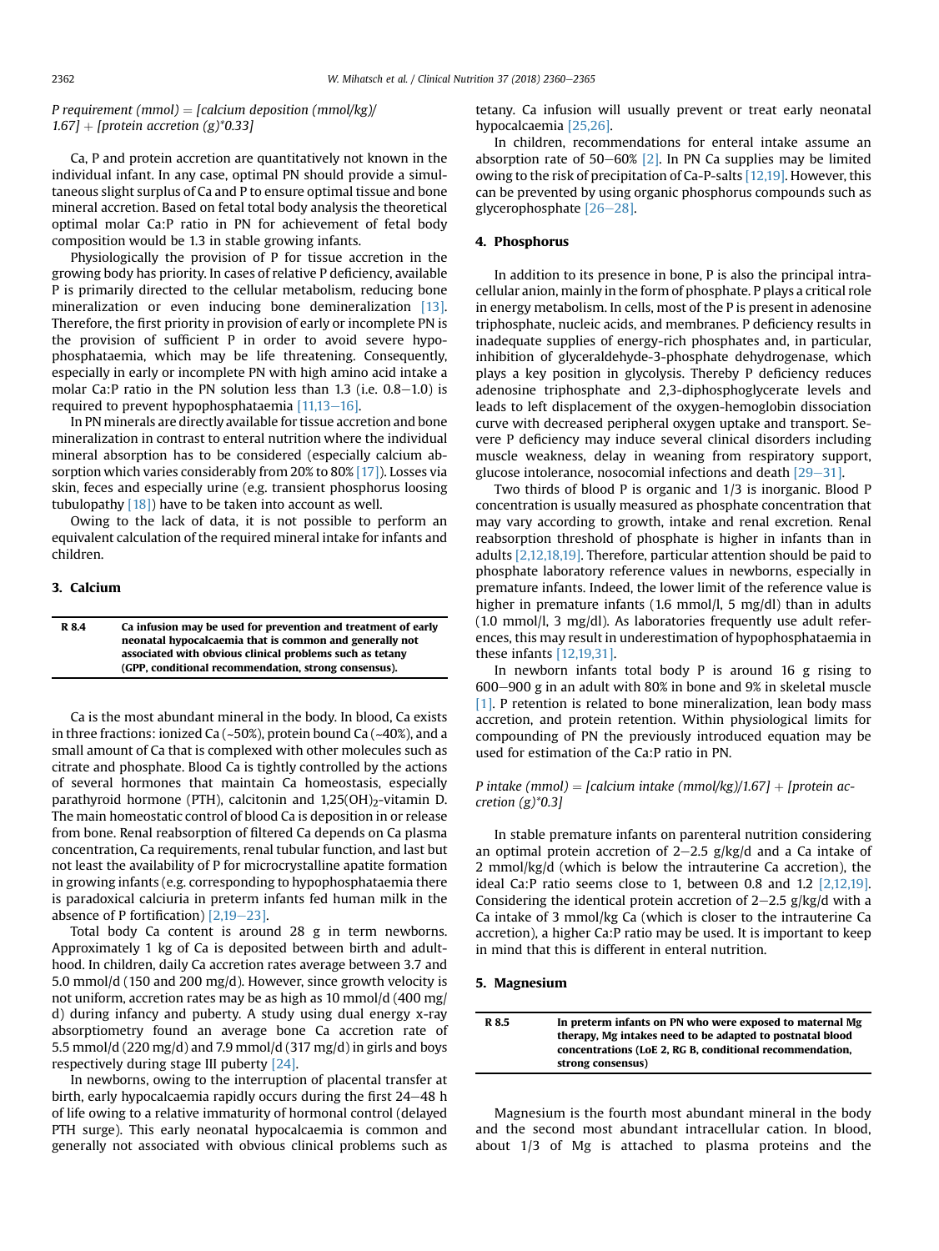P requirement (mmol) = [calcium deposition (mmol/kg)/ 1.67] + [protein accretion (g)\*0.33]

Ca, P and protein accretion are quantitatively not known in the individual infant. In any case, optimal PN should provide a simultaneous slight surplus of Ca and P to ensure optimal tissue and bone mineral accretion. Based on fetal total body analysis the theoretical optimal molar Ca:P ratio in PN for achievement of fetal body composition would be 1.3 in stable growing infants.

Physiologically the provision of P for tissue accretion in the growing body has priority. In cases of relative P deficiency, available P is primarily directed to the cellular metabolism, reducing bone mineralization or even inducing bone demineralization [\[13\].](#page-4-0) Therefore, the first priority in provision of early or incomplete PN is the provision of sufficient P in order to avoid severe hypophosphataemia, which may be life threatening. Consequently, especially in early or incomplete PN with high amino acid intake a molar Ca:P ratio in the PN solution less than  $1.3$  (i.e.  $0.8-1.0$ ) is required to prevent hypophosphataemia  $[11,13-16]$  $[11,13-16]$  $[11,13-16]$ .

In PN minerals are directly available for tissue accretion and bone mineralization in contrast to enteral nutrition where the individual mineral absorption has to be considered (especially calcium absorption which varies considerably from 20% to 80% [\[17\]\)](#page-5-0). Losses via skin, feces and especially urine (e.g. transient phosphorus loosing tubulopathy  $[18]$ ) have to be taken into account as well.

Owing to the lack of data, it is not possible to perform an equivalent calculation of the required mineral intake for infants and children.

### 3. Calcium

| R 8.4 | Ca infusion may be used for prevention and treatment of early |
|-------|---------------------------------------------------------------|
|       | neonatal hypocalcaemia that is common and generally not       |
|       | associated with obvious clinical problems such as tetany      |
|       | (GPP, conditional recommendation, strong consensus).          |

Ca is the most abundant mineral in the body. In blood, Ca exists in three fractions: ionized Ca (~50%), protein bound Ca (~40%), and a small amount of Ca that is complexed with other molecules such as citrate and phosphate. Blood Ca is tightly controlled by the actions of several hormones that maintain Ca homeostasis, especially parathyroid hormone (PTH), calcitonin and 1,25(OH)<sub>2</sub>-vitamin D. The main homeostatic control of blood Ca is deposition in or release from bone. Renal reabsorption of filtered Ca depends on Ca plasma concentration, Ca requirements, renal tubular function, and last but not least the availability of P for microcrystalline apatite formation in growing infants (e.g. corresponding to hypophosphataemia there is paradoxical calciuria in preterm infants fed human milk in the absence of P fortification)  $[2,19-23]$  $[2,19-23]$ .

Total body Ca content is around 28 g in term newborns. Approximately 1 kg of Ca is deposited between birth and adulthood. In children, daily Ca accretion rates average between 3.7 and 5.0 mmol/d (150 and 200 mg/d). However, since growth velocity is not uniform, accretion rates may be as high as 10 mmol/d (400 mg/ d) during infancy and puberty. A study using dual energy x-ray absorptiometry found an average bone Ca accretion rate of 5.5 mmol/d (220 mg/d) and 7.9 mmol/d (317 mg/d) in girls and boys respectively during stage III puberty [\[24\].](#page-5-0)

In newborns, owing to the interruption of placental transfer at birth, early hypocalcaemia rapidly occurs during the first  $24-48$  h of life owing to a relative immaturity of hormonal control (delayed PTH surge). This early neonatal hypocalcaemia is common and generally not associated with obvious clinical problems such as tetany. Ca infusion will usually prevent or treat early neonatal hypocalcaemia [\[25,26\].](#page-5-0)

In children, recommendations for enteral intake assume an absorption rate of 50-60%  $[2]$ . In PN Ca supplies may be limited owing to the risk of precipitation of Ca-P-salts [\[12,19\]](#page-4-0). However, this can be prevented by using organic phosphorus compounds such as glycerophosphate  $[26-28]$  $[26-28]$  $[26-28]$ .

## 4. Phosphorus

In addition to its presence in bone, P is also the principal intracellular anion, mainly in the form of phosphate. P plays a critical role in energy metabolism. In cells, most of the P is present in adenosine triphosphate, nucleic acids, and membranes. P deficiency results in inadequate supplies of energy-rich phosphates and, in particular, inhibition of glyceraldehyde-3-phosphate dehydrogenase, which plays a key position in glycolysis. Thereby P deficiency reduces adenosine triphosphate and 2,3-diphosphoglycerate levels and leads to left displacement of the oxygen-hemoglobin dissociation curve with decreased peripheral oxygen uptake and transport. Severe P deficiency may induce several clinical disorders including muscle weakness, delay in weaning from respiratory support, glucose intolerance, nosocomial infections and death  $[29-31]$  $[29-31]$  $[29-31]$ .

Two thirds of blood P is organic and 1/3 is inorganic. Blood P concentration is usually measured as phosphate concentration that may vary according to growth, intake and renal excretion. Renal reabsorption threshold of phosphate is higher in infants than in adults [\[2,12,18,19\]](#page-4-0). Therefore, particular attention should be paid to phosphate laboratory reference values in newborns, especially in premature infants. Indeed, the lower limit of the reference value is higher in premature infants (1.6 mmol/l, 5 mg/dl) than in adults (1.0 mmol/l, 3 mg/dl). As laboratories frequently use adult references, this may result in underestimation of hypophosphataemia in these infants [\[12,19,31\]](#page-4-0).

In newborn infants total body P is around 16 g rising to  $600-900$  g in an adult with 80% in bone and 9% in skeletal muscle [\[1\]](#page-4-0). P retention is related to bone mineralization, lean body mass accretion, and protein retention. Within physiological limits for compounding of PN the previously introduced equation may be used for estimation of the Ca:P ratio in PN.

# P intake (mmol) = [calcium intake (mmol/kg)/1.67] + [protein accretion  $(g)^*0.3$ ]

In stable premature infants on parenteral nutrition considering an optimal protein accretion of  $2-2.5$  g/kg/d and a Ca intake of 2 mmol/kg/d (which is below the intrauterine Ca accretion), the ideal Ca:P ratio seems close to 1, between 0.8 and 1.2 [\[2,12,19\].](#page-4-0) Considering the identical protein accretion of  $2-2.5$  g/kg/d with a Ca intake of 3 mmol/kg Ca (which is closer to the intrauterine Ca accretion), a higher Ca:P ratio may be used. It is important to keep in mind that this is different in enteral nutrition.

#### 5. Magnesium

| R 8.5 | In preterm infants on PN who were exposed to maternal Mg<br>therapy. Mg intakes need to be adapted to postnatal blood |
|-------|-----------------------------------------------------------------------------------------------------------------------|
|       | concentrations (LoE 2, RG B, conditional recommendation,<br>strong consensus)                                         |

Magnesium is the fourth most abundant mineral in the body and the second most abundant intracellular cation. In blood, about 1/3 of Mg is attached to plasma proteins and the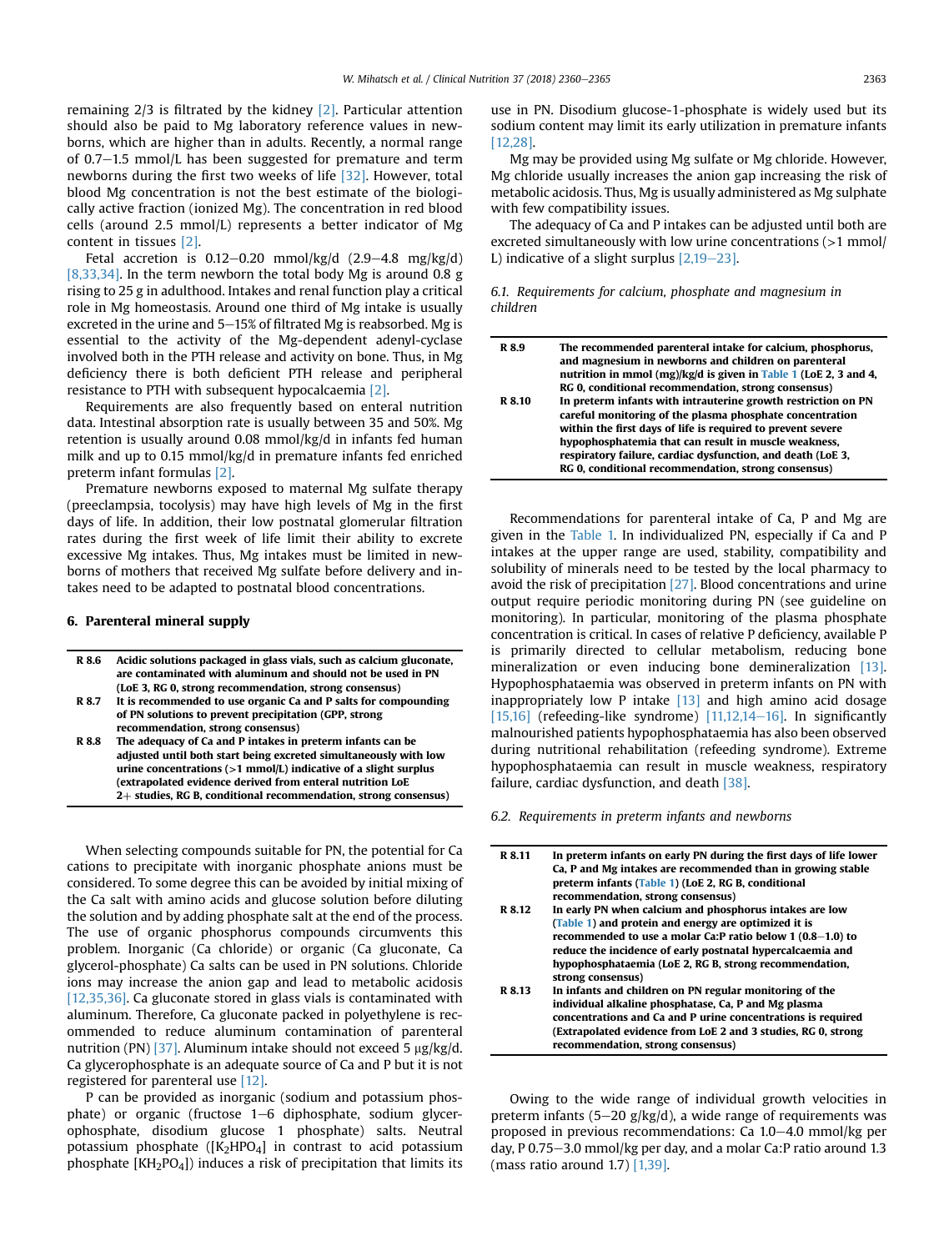remaining 2/3 is filtrated by the kidney [\[2\].](#page-4-0) Particular attention should also be paid to Mg laboratory reference values in newborns, which are higher than in adults. Recently, a normal range of  $0.7-1.5$  mmol/L has been suggested for premature and term newborns during the first two weeks of life [\[32\]](#page-5-0). However, total blood Mg concentration is not the best estimate of the biologically active fraction (ionized Mg). The concentration in red blood cells (around 2.5 mmol/L) represents a better indicator of Mg content in tissues [\[2\].](#page-4-0)

Fetal accretion is  $0.12-0.20$  mmol/kg/d  $(2.9-4.8 \text{ mg/kg/d})$ [\[8,33,34\].](#page-4-0) In the term newborn the total body Mg is around 0.8 g rising to 25 g in adulthood. Intakes and renal function play a critical role in Mg homeostasis. Around one third of Mg intake is usually excreted in the urine and  $5-15%$  of filtrated Mg is reabsorbed. Mg is essential to the activity of the Mg-dependent adenyl-cyclase involved both in the PTH release and activity on bone. Thus, in Mg deficiency there is both deficient PTH release and peripheral resistance to PTH with subsequent hypocalcaemia [\[2\]](#page-4-0).

Requirements are also frequently based on enteral nutrition data. Intestinal absorption rate is usually between 35 and 50%. Mg retention is usually around 0.08 mmol/kg/d in infants fed human milk and up to 0.15 mmol/kg/d in premature infants fed enriched preterm infant formulas [\[2\]](#page-4-0).

Premature newborns exposed to maternal Mg sulfate therapy (preeclampsia, tocolysis) may have high levels of Mg in the first days of life. In addition, their low postnatal glomerular filtration rates during the first week of life limit their ability to excrete excessive Mg intakes. Thus, Mg intakes must be limited in newborns of mothers that received Mg sulfate before delivery and intakes need to be adapted to postnatal blood concentrations.

## 6. Parenteral mineral supply

| R 8.6 | Acidic solutions packaged in glass vials, such as calcium gluconate,<br>are contaminated with aluminum and should not be used in PN |
|-------|-------------------------------------------------------------------------------------------------------------------------------------|
|       | (LoE 3, RG 0, strong recommendation, strong consensus)                                                                              |
| R 8.7 | It is recommended to use organic Ca and P salts for compounding                                                                     |
|       | of PN solutions to prevent precipitation (GPP, strong                                                                               |
|       | recommendation, strong consensus)                                                                                                   |
| R 8.8 | The adequacy of Ca and P intakes in preterm infants can be                                                                          |
|       | adjusted until both start being excreted simultaneously with low                                                                    |
|       | urine concentrations $(>1$ mmol/L) indicative of a slight surplus                                                                   |
|       | (extrapolated evidence derived from enteral nutrition LoE                                                                           |
|       | 2+ studies, RG B, conditional recommendation, strong consensus)                                                                     |
|       |                                                                                                                                     |

When selecting compounds suitable for PN, the potential for Ca cations to precipitate with inorganic phosphate anions must be considered. To some degree this can be avoided by initial mixing of the Ca salt with amino acids and glucose solution before diluting the solution and by adding phosphate salt at the end of the process. The use of organic phosphorus compounds circumvents this problem. Inorganic (Ca chloride) or organic (Ca gluconate, Ca glycerol-phosphate) Ca salts can be used in PN solutions. Chloride ions may increase the anion gap and lead to metabolic acidosis  $[12,35,36]$ . Ca gluconate stored in glass vials is contaminated with aluminum. Therefore, Ca gluconate packed in polyethylene is recommended to reduce aluminum contamination of parenteral nutrition (PN) [\[37\].](#page-5-0) Aluminum intake should not exceed 5  $\mu$ g/kg/d. Ca glycerophosphate is an adequate source of Ca and P but it is not registered for parenteral use [\[12\].](#page-4-0)

P can be provided as inorganic (sodium and potassium phosphate) or organic (fructose  $1-6$  diphosphate, sodium glycerophosphate, disodium glucose 1 phosphate) salts. Neutral potassium phosphate  $([K_2HPO_4]$  in contrast to acid potassium phosphate [KH2PO4]) induces a risk of precipitation that limits its use in PN. Disodium glucose-1-phosphate is widely used but its sodium content may limit its early utilization in premature infants [\[12,28\].](#page-4-0)

Mg may be provided using Mg sulfate or Mg chloride. However, Mg chloride usually increases the anion gap increasing the risk of metabolic acidosis. Thus, Mg is usually administered as Mg sulphate with few compatibility issues.

The adequacy of Ca and P intakes can be adjusted until both are excreted simultaneously with low urine concentrations (>1 mmol/ L) indicative of a slight surplus  $[2,19-23]$  $[2,19-23]$  $[2,19-23]$ .

6.1. Requirements for calcium, phosphate and magnesium in children

| R 8.9  | The recommended parenteral intake for calcium, phosphorus,<br>and magnesium in newborns and children on parenteral |
|--------|--------------------------------------------------------------------------------------------------------------------|
|        | nutrition in mmol (mg)/kg/d is given in Table 1 (LoE 2, 3 and 4,                                                   |
|        | RG 0, conditional recommendation, strong consensus)                                                                |
| R 8.10 | In preterm infants with intrauterine growth restriction on PN                                                      |
|        | careful monitoring of the plasma phosphate concentration                                                           |
|        | within the first days of life is required to prevent severe                                                        |
|        | hypophosphatemia that can result in muscle weakness,                                                               |
|        | respiratory failure, cardiac dysfunction, and death (LoE 3,                                                        |
|        | RG 0, conditional recommendation, strong consensus)                                                                |
|        |                                                                                                                    |

Recommendations for parenteral intake of Ca, P and Mg are given in the [Table 1.](#page-4-0) In individualized PN, especially if Ca and P intakes at the upper range are used, stability, compatibility and solubility of minerals need to be tested by the local pharmacy to avoid the risk of precipitation [\[27\]](#page-5-0). Blood concentrations and urine output require periodic monitoring during PN (see guideline on monitoring). In particular, monitoring of the plasma phosphate concentration is critical. In cases of relative P deficiency, available P is primarily directed to cellular metabolism, reducing bone mineralization or even inducing bone demineralization [\[13\].](#page-4-0) Hypophosphataemia was observed in preterm infants on PN with inappropriately low P intake  $[13]$  and high amino acid dosage [\[15,16\]](#page-4-0) (refeeding-like syndrome)  $[11,12,14-16]$  $[11,12,14-16]$  $[11,12,14-16]$ . In significantly malnourished patients hypophosphataemia has also been observed during nutritional rehabilitation (refeeding syndrome). Extreme hypophosphataemia can result in muscle weakness, respiratory failure, cardiac dysfunction, and death [\[38\]](#page-5-0).

6.2. Requirements in preterm infants and newborns

| R 8.11 | In preterm infants on early PN during the first days of life lower<br>Ca. P and Mg intakes are recommended than in growing stable<br>preterm infants (Table 1) (LoE 2, RG B, conditional<br>recommendation, strong consensus) |
|--------|-------------------------------------------------------------------------------------------------------------------------------------------------------------------------------------------------------------------------------|
| R 8.12 | In early PN when calcium and phosphorus intakes are low                                                                                                                                                                       |
|        | (Table 1) and protein and energy are optimized it is                                                                                                                                                                          |
|        | recommended to use a molar Ca:P ratio below $1(0.8-1.0)$ to                                                                                                                                                                   |
|        | reduce the incidence of early postnatal hypercalcaemia and                                                                                                                                                                    |
|        | hypophosphataemia (LoE 2, RG B, strong recommendation,                                                                                                                                                                        |
|        | strong consensus)                                                                                                                                                                                                             |
| R 8.13 | In infants and children on PN regular monitoring of the                                                                                                                                                                       |
|        | individual alkaline phosphatase, Ca, P and Mg plasma                                                                                                                                                                          |
|        | concentrations and Ca and P urine concentrations is required                                                                                                                                                                  |
|        | (Extrapolated evidence from LoE 2 and 3 studies, RG 0, strong<br>recommendation, strong consensus)                                                                                                                            |
|        |                                                                                                                                                                                                                               |

Owing to the wide range of individual growth velocities in preterm infants (5-20 g/kg/d), a wide range of requirements was proposed in previous recommendations: Ca 1.0-4.0 mmol/kg per day, P 0.75–3.0 mmol/kg per day, and a molar Ca:P ratio around 1.3 (mass ratio around 1.7) [\[1,39\]](#page-4-0).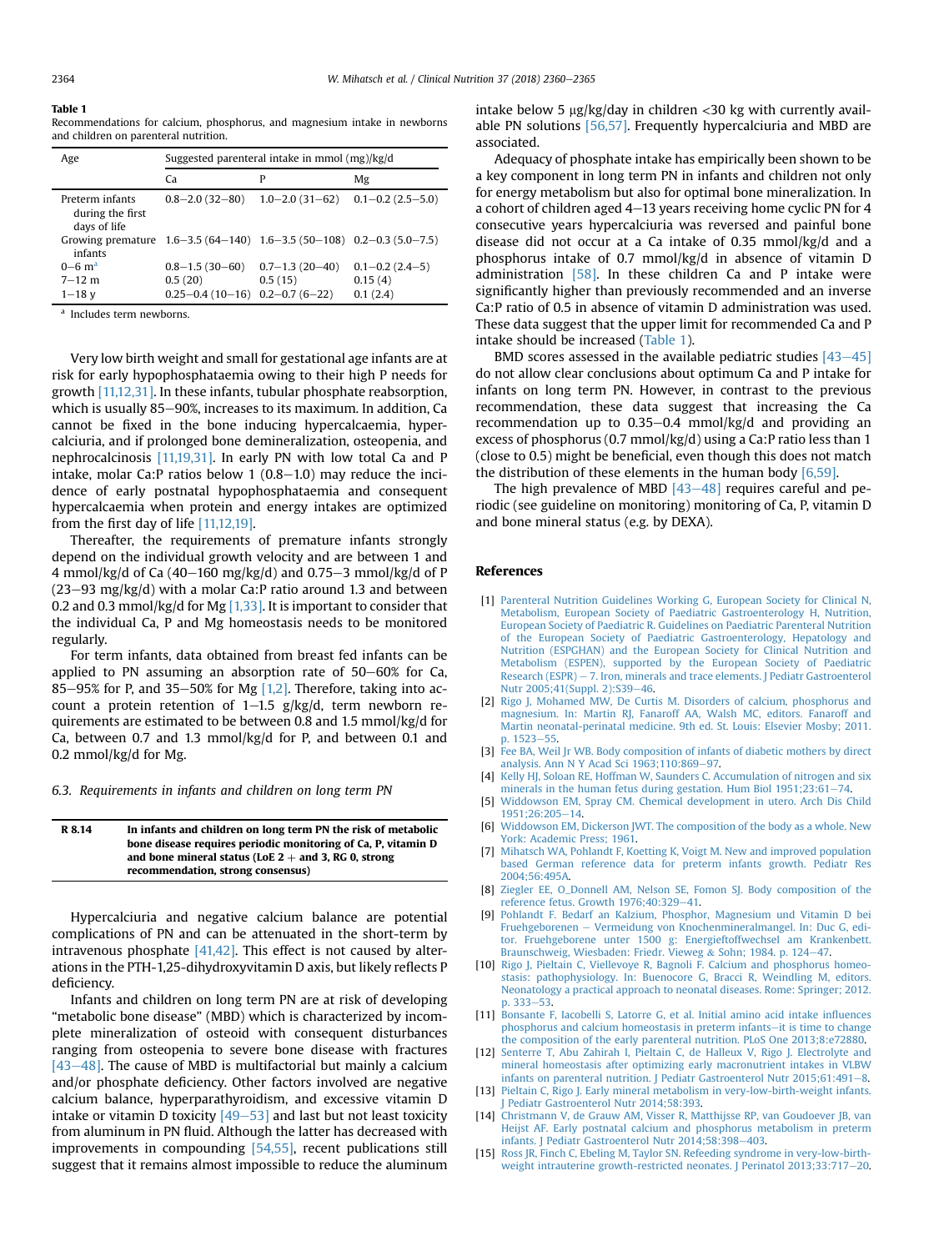#### <span id="page-4-0"></span>Table 1

Recommendations for calcium, phosphorus, and magnesium intake in newborns and children on parenteral nutrition.

| Age                                                                                 | Suggested parenteral intake in mmol (mg)/kg/d            |                                                        |                                            |
|-------------------------------------------------------------------------------------|----------------------------------------------------------|--------------------------------------------------------|--------------------------------------------|
|                                                                                     | Ca                                                       | P                                                      | Μg                                         |
| Preterm infants<br>during the first<br>days of life                                 | $0.8 - 2.0(32 - 80)$                                     | $1.0-2.0(31-62)$ $0.1-0.2(2.5-5.0)$                    |                                            |
| Growing premature $1.6-3.5(64-140)$ $1.6-3.5(50-108)$ $0.2-0.3(5.0-7.5)$<br>infants |                                                          |                                                        |                                            |
| $0 - 6$ m <sup>a</sup><br>$7 - 12$ m<br>$1 - 18$ v                                  | $0.8 - 1.5(30 - 60)$<br>0.5(20)<br>$0.25 - 0.4(10 - 16)$ | $0.7 - 1.3(20 - 40)$<br>0.5(15)<br>$0.2 - 0.7(6 - 22)$ | $0.1 - 0.2$ (2.4-5)<br>0.15(4)<br>0.1(2.4) |

<sup>a</sup> Includes term newborns.

Very low birth weight and small for gestational age infants are at risk for early hypophosphataemia owing to their high P needs for growth [11,12,31]. In these infants, tubular phosphate reabsorption, which is usually 85-90%, increases to its maximum. In addition, Ca cannot be fixed in the bone inducing hypercalcaemia, hypercalciuria, and if prolonged bone demineralization, osteopenia, and nephrocalcinosis [11,19,31]. In early PN with low total Ca and P intake, molar Ca:P ratios below 1  $(0.8-1.0)$  may reduce the incidence of early postnatal hypophosphataemia and consequent hypercalcaemia when protein and energy intakes are optimized from the first day of life  $[11,12,19]$ .

Thereafter, the requirements of premature infants strongly depend on the individual growth velocity and are between 1 and 4 mmol/kg/d of Ca (40–160 mg/kg/d) and 0.75–3 mmol/kg/d of P  $(23-93 \text{ mg/kg/d})$  with a molar Ca:P ratio around 1.3 and between 0.2 and 0.3 mmol/kg/d for Mg  $[1,33]$ . It is important to consider that the individual Ca, P and Mg homeostasis needs to be monitored regularly.

For term infants, data obtained from breast fed infants can be applied to PN assuming an absorption rate of  $50-60%$  for Ca, 85-95% for P, and 35-50% for Mg  $[1,2]$ . Therefore, taking into account a protein retention of  $1-1.5$  g/kg/d, term newborn requirements are estimated to be between 0.8 and 1.5 mmol/kg/d for Ca, between 0.7 and 1.3 mmol/kg/d for P, and between 0.1 and 0.2 mmol/kg/d for Mg.

6.3. Requirements in infants and children on long term PN

| R 8.14 | In infants and children on long term PN the risk of metabolic |
|--------|---------------------------------------------------------------|
|        | bone disease requires periodic monitoring of Ca. P. vitamin D |
|        | and bone mineral status (LoE $2 +$ and 3, RG 0, strong        |
|        | recommendation, strong consensus)                             |

Hypercalciuria and negative calcium balance are potential complications of PN and can be attenuated in the short-term by intravenous phosphate [\[41,42\]](#page-5-0). This effect is not caused by alterations in the PTH-1,25-dihydroxyvitamin D axis, but likely reflects P deficiency.

Infants and children on long term PN are at risk of developing "metabolic bone disease" (MBD) which is characterized by incomplete mineralization of osteoid with consequent disturbances ranging from osteopenia to severe bone disease with fractures  $[43-48]$  $[43-48]$ . The cause of MBD is multifactorial but mainly a calcium and/or phosphate deficiency. Other factors involved are negative calcium balance, hyperparathyroidism, and excessive vitamin D intake or vitamin D toxicity  $[49-53]$  $[49-53]$  $[49-53]$  and last but not least toxicity from aluminum in PN fluid. Although the latter has decreased with improvements in compounding [\[54,55\]](#page-5-0), recent publications still suggest that it remains almost impossible to reduce the aluminum intake below 5  $\mu$ g/kg/day in children <30 kg with currently available PN solutions [\[56,57\].](#page-5-0) Frequently hypercalciuria and MBD are associated.

Adequacy of phosphate intake has empirically been shown to be a key component in long term PN in infants and children not only for energy metabolism but also for optimal bone mineralization. In a cohort of children aged  $4-13$  years receiving home cyclic PN for  $4$ consecutive years hypercalciuria was reversed and painful bone disease did not occur at a Ca intake of 0.35 mmol/kg/d and a phosphorus intake of 0.7 mmol/kg/d in absence of vitamin D administration  $[58]$ . In these children Ca and P intake were significantly higher than previously recommended and an inverse Ca:P ratio of 0.5 in absence of vitamin D administration was used. These data suggest that the upper limit for recommended Ca and P intake should be increased (Table 1).

BMD scores assessed in the available pediatric studies  $[43-45]$  $[43-45]$  $[43-45]$ do not allow clear conclusions about optimum Ca and P intake for infants on long term PN. However, in contrast to the previous recommendation, these data suggest that increasing the Ca recommendation up to  $0.35-0.4$  mmol/kg/d and providing an excess of phosphorus (0.7 mmol/kg/d) using a Ca:P ratio less than 1 (close to 0.5) might be beneficial, even though this does not match the distribution of these elements in the human body  $[6,59]$ .

The high prevalence of MBD  $[43-48]$  $[43-48]$  $[43-48]$  requires careful and periodic (see guideline on monitoring) monitoring of Ca, P, vitamin D and bone mineral status (e.g. by DEXA).

#### References

- [1] [Parenteral Nutrition Guidelines Working G, European Society for Clinical N,](http://refhub.elsevier.com/S0261-5614(18)31169-5/sref1) [Metabolism, European Society of Paediatric Gastroenterology H, Nutrition,](http://refhub.elsevier.com/S0261-5614(18)31169-5/sref1) [European Society of Paediatric R. Guidelines on Paediatric Parenteral Nutrition](http://refhub.elsevier.com/S0261-5614(18)31169-5/sref1) [of the European Society of Paediatric Gastroenterology, Hepatology and](http://refhub.elsevier.com/S0261-5614(18)31169-5/sref1) [Nutrition \(ESPGHAN\) and the European Society for Clinical Nutrition and](http://refhub.elsevier.com/S0261-5614(18)31169-5/sref1) [Metabolism \(ESPEN\), supported by the European Society of Paediatric](http://refhub.elsevier.com/S0261-5614(18)31169-5/sref1) [Research \(ESPR\)](http://refhub.elsevier.com/S0261-5614(18)31169-5/sref1)  $-7$ . Iron, minerals and trace elements. J Pediatr Gastroenterol [Nutr 2005;41\(Suppl. 2\):S39](http://refhub.elsevier.com/S0261-5614(18)31169-5/sref1)-[46](http://refhub.elsevier.com/S0261-5614(18)31169-5/sref1).
- [2] [Rigo J, Mohamed MW, De Curtis M. Disorders of calcium, phosphorus and](http://refhub.elsevier.com/S0261-5614(18)31169-5/sref2) [magnesium. In: Martin RJ, Fanaroff AA, Walsh MC, editors. Fanaroff and](http://refhub.elsevier.com/S0261-5614(18)31169-5/sref2) [Martin neonatal-perinatal medicine. 9th ed. St. Louis: Elsevier Mosby; 2011.](http://refhub.elsevier.com/S0261-5614(18)31169-5/sref2) [p. 1523](http://refhub.elsevier.com/S0261-5614(18)31169-5/sref2)-[55](http://refhub.elsevier.com/S0261-5614(18)31169-5/sref2).
- [3] Fee BA, Weil Jr WB, Body composition of infants of diabetic mothers by direct analysis. Ann N Y Acad Sci  $1963:110:869-97$  $1963:110:869-97$ .
- [4] [Kelly HJ, Soloan RE, Hoffman W, Saunders C. Accumulation of nitrogen and six](http://refhub.elsevier.com/S0261-5614(18)31169-5/sref4) minerals in the human fetus during gestation. Hum Biol  $1951:23:61-74$  $1951:23:61-74$ .
- [5] [Widdowson EM, Spray CM. Chemical development in utero. Arch Dis Child](http://refhub.elsevier.com/S0261-5614(18)31169-5/sref5)  $1951;26:205-14.$  $1951;26:205-14.$  $1951;26:205-14.$
- [6] [Widdowson EM, Dickerson JWT. The composition of the body as a whole. New](http://refhub.elsevier.com/S0261-5614(18)31169-5/sref6) [York: Academic Press; 1961](http://refhub.elsevier.com/S0261-5614(18)31169-5/sref6).
- [7] [Mihatsch WA, Pohlandt F, Koetting K, Voigt M. New and improved population](http://refhub.elsevier.com/S0261-5614(18)31169-5/sref7) [based German reference data for preterm infants growth. Pediatr Res](http://refhub.elsevier.com/S0261-5614(18)31169-5/sref7) [2004;56:495A.](http://refhub.elsevier.com/S0261-5614(18)31169-5/sref7)
- [8] [Ziegler EE, O\\_Donnell AM, Nelson SE, Fomon SJ. Body composition of the](http://refhub.elsevier.com/S0261-5614(18)31169-5/sref8) reference fetus. Growth  $1976:40:329-41$ .
- [9] [Pohlandt F. Bedarf an Kalzium, Phosphor, Magnesium und Vitamin D bei](http://refhub.elsevier.com/S0261-5614(18)31169-5/sref9) [Fruehgeborenen](http://refhub.elsevier.com/S0261-5614(18)31169-5/sref9) e [Vermeidung von Knochenmineralmangel. In: Duc G, edi](http://refhub.elsevier.com/S0261-5614(18)31169-5/sref9)[tor. Fruehgeborene unter 1500 g: Energieftoffwechsel am Krankenbett.](http://refhub.elsevier.com/S0261-5614(18)31169-5/sref9)<br>[Braunschweig, Wiesbaden: Friedr. Vieweg](http://refhub.elsevier.com/S0261-5614(18)31169-5/sref9) & [Sohn; 1984. p. 124](http://refhub.elsevier.com/S0261-5614(18)31169-5/sref9)–[47](http://refhub.elsevier.com/S0261-5614(18)31169-5/sref9).
- [10] [Rigo J, Pieltain C, Viellevoye R, Bagnoli F. Calcium and phosphorus homeo](http://refhub.elsevier.com/S0261-5614(18)31169-5/sref10)[stasis: pathophysiology. In: Buenocore G, Bracci R, Weindling M, editors.](http://refhub.elsevier.com/S0261-5614(18)31169-5/sref10) [Neonatology a practical approach to neonatal diseases. Rome: Springer; 2012.](http://refhub.elsevier.com/S0261-5614(18)31169-5/sref10) [p. 333](http://refhub.elsevier.com/S0261-5614(18)31169-5/sref10)-[53.](http://refhub.elsevier.com/S0261-5614(18)31169-5/sref10)
- [11] [Bonsante F, Iacobelli S, Latorre G, et al. Initial amino acid intake in](http://refhub.elsevier.com/S0261-5614(18)31169-5/sref11)fluences [phosphorus and calcium homeostasis in preterm infants](http://refhub.elsevier.com/S0261-5614(18)31169-5/sref11)-[it is time to change](http://refhub.elsevier.com/S0261-5614(18)31169-5/sref11) [the composition of the early parenteral nutrition. PLoS One 2013;8:e72880](http://refhub.elsevier.com/S0261-5614(18)31169-5/sref11).
- [12] [Senterre T, Abu Zahirah I, Pieltain C, de Halleux V, Rigo J. Electrolyte and](http://refhub.elsevier.com/S0261-5614(18)31169-5/sref12) [mineral homeostasis after optimizing early macronutrient intakes in VLBW](http://refhub.elsevier.com/S0261-5614(18)31169-5/sref12) [infants on parenteral nutrition. J Pediatr Gastroenterol Nutr 2015;61:491](http://refhub.elsevier.com/S0261-5614(18)31169-5/sref12)-[8.](http://refhub.elsevier.com/S0261-5614(18)31169-5/sref12)
- [13] [Pieltain C, Rigo J. Early mineral metabolism in very-low-birth-weight infants.](http://refhub.elsevier.com/S0261-5614(18)31169-5/sref13) [J Pediatr Gastroenterol Nutr 2014;58:393](http://refhub.elsevier.com/S0261-5614(18)31169-5/sref13).
- [14] [Christmann V, de Grauw AM, Visser R, Matthijsse RP, van Goudoever JB, van](http://refhub.elsevier.com/S0261-5614(18)31169-5/sref14) [Heijst AF. Early postnatal calcium and phosphorus metabolism in preterm](http://refhub.elsevier.com/S0261-5614(18)31169-5/sref14) [infants. J Pediatr Gastroenterol Nutr 2014;58:398](http://refhub.elsevier.com/S0261-5614(18)31169-5/sref14)-[403](http://refhub.elsevier.com/S0261-5614(18)31169-5/sref14).
- [15] [Ross JR, Finch C, Ebeling M, Taylor SN. Refeeding syndrome in very-low-birth](http://refhub.elsevier.com/S0261-5614(18)31169-5/sref15)[weight intrauterine growth-restricted neonates. J Perinatol 2013;33:717](http://refhub.elsevier.com/S0261-5614(18)31169-5/sref15)-[20](http://refhub.elsevier.com/S0261-5614(18)31169-5/sref15).